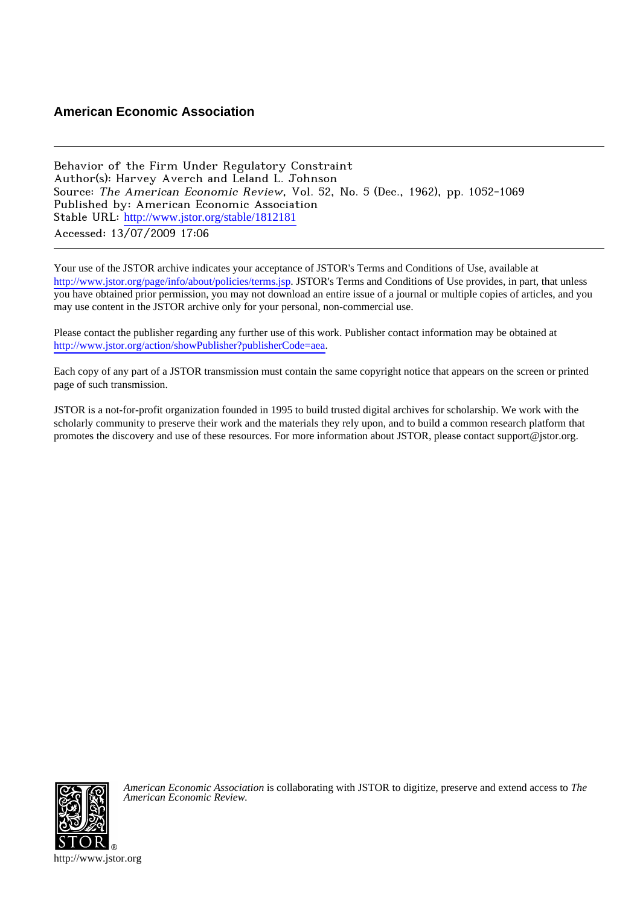# **American Economic Association**

Behavior of the Firm Under Regulatory Constraint Author(s): Harvey Averch and Leland L. Johnson Source: The American Economic Review, Vol. 52, No. 5 (Dec., 1962), pp. 1052-1069 Published by: American Economic Association Stable URL: [http://www.jstor.org/stable/1812181](http://www.jstor.org/stable/1812181?origin=JSTOR-pdf) Accessed: 13/07/2009 17:06

Your use of the JSTOR archive indicates your acceptance of JSTOR's Terms and Conditions of Use, available at <http://www.jstor.org/page/info/about/policies/terms.jsp>. JSTOR's Terms and Conditions of Use provides, in part, that unless you have obtained prior permission, you may not download an entire issue of a journal or multiple copies of articles, and you may use content in the JSTOR archive only for your personal, non-commercial use.

Please contact the publisher regarding any further use of this work. Publisher contact information may be obtained at <http://www.jstor.org/action/showPublisher?publisherCode=aea>.

Each copy of any part of a JSTOR transmission must contain the same copyright notice that appears on the screen or printed page of such transmission.

JSTOR is a not-for-profit organization founded in 1995 to build trusted digital archives for scholarship. We work with the scholarly community to preserve their work and the materials they rely upon, and to build a common research platform that promotes the discovery and use of these resources. For more information about JSTOR, please contact support@jstor.org.



*American Economic Association* is collaborating with JSTOR to digitize, preserve and extend access to *The American Economic Review.*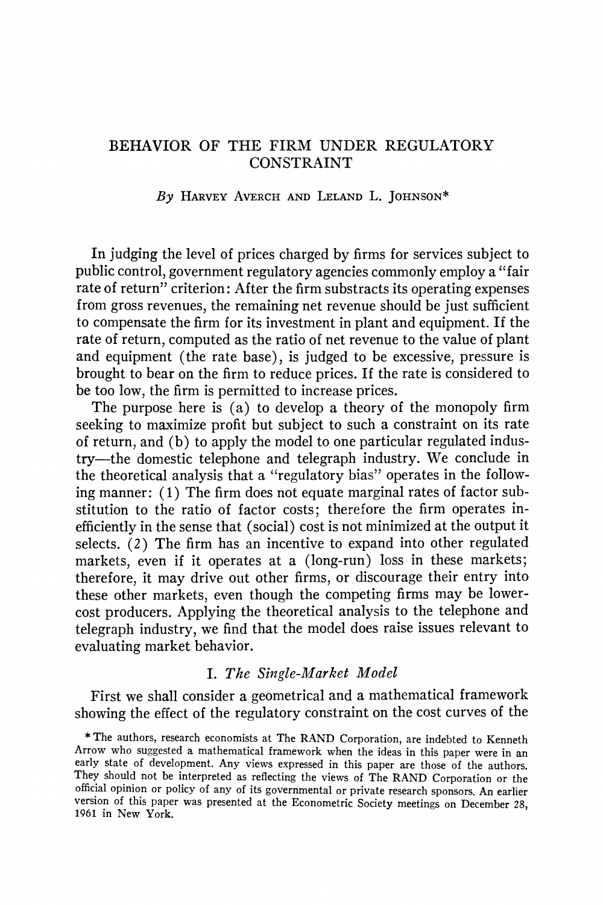## **BEHAVIOR OF THE FIRM UNDER REGULATORY CONSTRAINT**

### **By HARVEY AVERCH AND LELAND L. JOHNSON\***

**In judging the level of prices charged by firms for services subject to public control, government regulatory agencies commonly employ a "fair rate of return" criterion: After the firm substracts its operating expenses from gross revenues, the remaining net revenue should be just sufficient to compensate the firm for its investment in plant and equipment. If the rate of return, computed as the ratio of net revenue to the value of plant and equipment (the rate base), is judged to be excessive, pressure is brought to bear on the firm to reduce prices. If the rate is considered to be too low, the firm is permitted to increase prices.** 

**The purpose here is (a) to develop a theory of the monopoly firm seeking to maximize profit but subject to such a constraint on its rate of return, and (b) to apply the model to one particular regulated industry-the domestic telephone and telegraph industry. We conclude in the theoretical analysis that a "regulatory bias" operates in the following manner: (1) The firm does not equate marginal rates of factor substitution to the ratio of factor costs; therefore the firm operates inefficiently in the sense that (social) cost is not minimized at the output it selects. (2) The firm has an incentive to expand into other regulated markets, even if it operates at a (long-run) loss in these markets; therefore, it may drive out other firms, or discourage their entry into these other markets, even though the competing firms may be lowercost producers. Applying the theoretical analysis to the telephone and telegraph industry, we find that the model does raise issues relevant to evaluating market behavior.** 

#### **I. The Single-Market Model**

**First we shall consider a geometrical and a mathematical framework showing the effect of the regulatory constraint on the cost curves of the** 

**<sup>\*</sup> The authors, research economists at The RAND Corporation, are indebted to Kenneth Arrow who suggested a mathematical framework when the ideas in this paper were in an early state of development. Any views expressed in this paper are those of the authors. They should not be interpreted as reflecting the views of The RAND Corporation or the official opinion or policy of any of its governmental or private research sponsors. An earlier version of this paper was presented at the Econometric Society meetings on December 28, 1961 in New York.**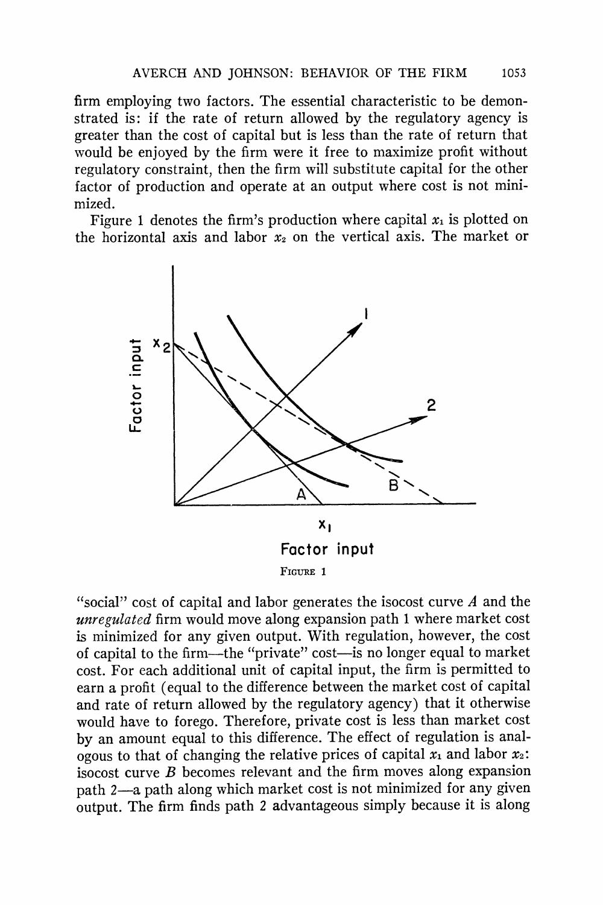**firm employing two factors. The essential characteristic to be demonstrated is: if the rate of return allowed by the regulatory agency is greater than the cost of capital but is less than the rate of return that would be enjoyed by the firm were it free to maximize profit without regulatory constraint, then the firm will substitute capital for the other factor of production and operate at an output where cost is not minimized.** 

Figure 1 denotes the firm's production where capital  $x_1$  is plotted on the horizontal axis and labor  $x_2$  on the vertical axis. The market or



**"social" cost of capital and labor generates the isocost curve A and the unregulated firm would move along expansion path 1 where market cost is minimized for any given output. With regulation, however, the cost of capital to the firm-the "private" cost-is no longer equal to market cost. For each additional unit of capital input, the firm is permitted to earn a profit (equal to the difference between the market cost of capital and rate of return allowed by the regulatory agency) that it otherwise would have to forego. Therefore, private cost is less than market cost by an amount equal to this difference. The effect of regulation is anal**ogous to that of changing the relative prices of capital  $x_1$  and labor  $x_2$ : **isocost curve B becomes relevant and the firm moves along expansion path 2-a path along which market cost is not minimized for any given output. The firm finds path 2 advantageous simply because it is along**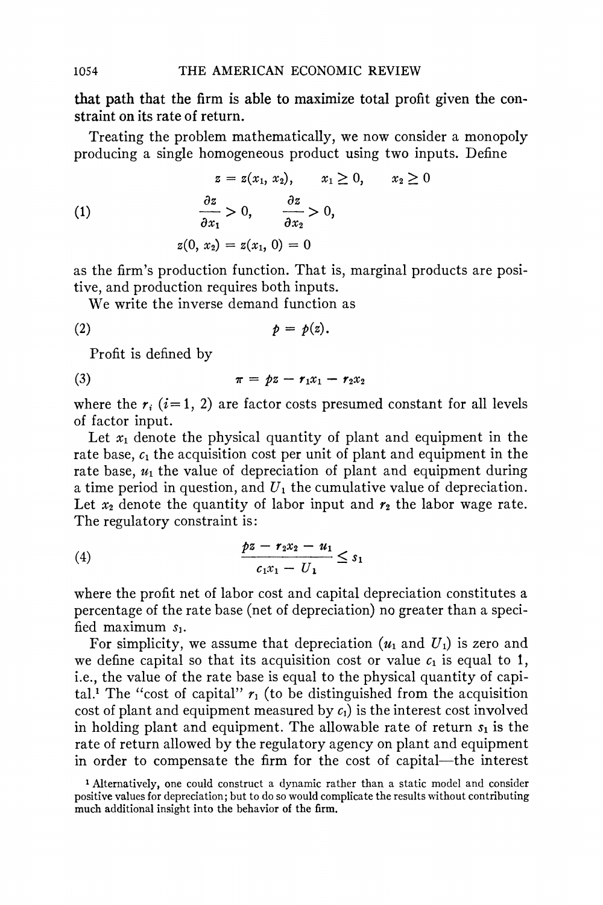**that path that the firm is able to maximize total profit given the constraint on its rate of return.** 

**Treating the problem mathematically, we now consider a monopoly producing a single homogeneous product using two inputs. Define** 

(1)  
\n
$$
z = z(x_1, x_2), \qquad x_1 \ge 0, \qquad x_2 \ge 0
$$
\n
$$
\frac{\partial z}{\partial x_1} > 0, \qquad \frac{\partial z}{\partial x_2} > 0,
$$
\n
$$
z(0, x_2) = z(x_1, 0) = 0
$$

**as the firm's production function. That is, marginal products are positive, and production requires both inputs.** 

**We write the inverse demand function as** 

$$
p = p(z).
$$

**Profit is defined by** 

$$
\pi = p z - r_1 x_1 - r_2 x_2
$$

where the  $r_i$  ( $i=1, 2$ ) are factor costs presumed constant for all levels **of factor input.** 

Let  $x_1$  denote the physical quantity of plant and equipment in the rate base,  $c_1$  the acquisition cost per unit of plant and equipment in the rate base,  $u_1$  the value of depreciation of plant and equipment during a time period in question, and  $U_1$  the cumulative value of depreciation. Let  $x_2$  denote the quantity of labor input and  $r_2$  the labor wage rate. **The regulatory constraint is:** 

(4) 
$$
\frac{pz - r_2x_2 - u_1}{c_1x_1 - U_1} \leq s_1
$$

**where the profit net of labor cost and capital depreciation constitutes a percentage of the rate base (net of depreciation) no greater than a speci**fied maximum  $s_1$ .

For simplicity, we assume that depreciation  $(u_1 \text{ and } U_1)$  is zero and we define capital so that its acquisition cost or value  $c_1$  is equal to 1, **i.e., the value of the rate base is equal to the physical quantity of capi**tal.<sup>1</sup> The "cost of capital"  $r_1$  (to be distinguished from the acquisition cost of plant and equipment measured by  $c_1$ ) is the interest cost involved in holding plant and equipment. The allowable rate of return  $s_1$  is the **rate of return allowed by the regulatory agency on plant and equipment in order to compensate the firm for the cost of capital-the interest** 

**<sup>1</sup> Alternatively, one could construct a dynamic rather than a static model and consider positive values for depreciation; but to do so would complicate the results without contributing much additional insight into the behavior of the firm.**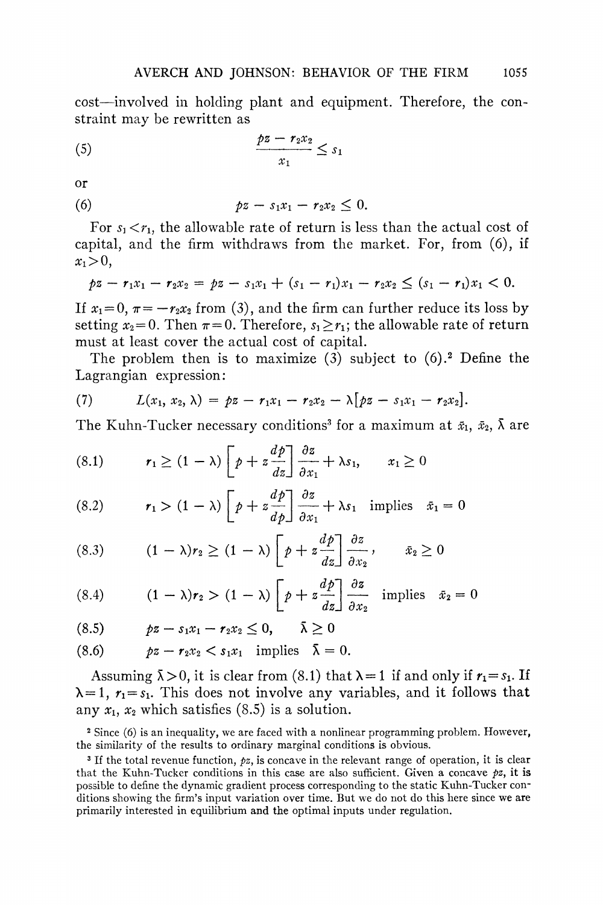**cost-involved in holding plant and equipment. Therefore, the constraint may be rewritten as** 

$$
\frac{pz - r_2x_2}{x_1} \leq s
$$

**or** 

(6) 
$$
pz - s_1x_1 - r_2x_2 \leq 0.
$$

For  $s_1 < r_1$ , the allowable rate of return is less than the actual cost of **capital, and the firm withdraws from the market. For, from (6), if**   $x_1 > 0$ ,

$$
pz-r_1x_1-r_2x_2=pz-s_1x_1+(s_1-r_1)x_1-r_2x_2\leq (s_1-r_1)x_1<0.
$$

If  $x_1=0$ ,  $\pi = -r_2x_2$  from (3), and the firm can further reduce its loss by setting  $x_2 = 0$ . Then  $\pi = 0$ . Therefore,  $s_1 \geq r_1$ ; the allowable rate of return **must at least cover the actual cost of capital.** 

The problem then is to maximize  $(3)$  subject to  $(6)$ .<sup>2</sup> Define the **Lagrangian expression:** 

(7) 
$$
L(x_1, x_2, \lambda) = pz - r_1x_1 - r_2x_2 - \lambda [pz - s_1x_1 - r_2x_2].
$$

The Kuhn-Tucker necessary conditions<sup>3</sup> for a maximum at  $\bar{x}_1$ ,  $\bar{x}_2$ ,  $\bar{\lambda}$  are

$$
(8.1) \t\t r_1 \ge (1-\lambda) \left[ p + z \frac{dp}{dz} \right] \frac{\partial z}{\partial x_1} + \lambda s_1, \t x_1 \ge 0
$$

(8.2) 
$$
r_1 > (1 - \lambda) \left[ p + z \frac{dp}{dp} \right] \frac{\partial z}{\partial x_1} + \lambda s_1 \text{ implies } \bar{x}_1 = 0
$$

(8.3) 
$$
(1 - \lambda)r_2 \ge (1 - \lambda) \left[ p + z \frac{d p}{d z} \right] \frac{\partial z}{\partial x_2}, \qquad \bar{x}_2 \ge 0
$$

(8.4) 
$$
(1 - \lambda) r_2 > (1 - \lambda) \left[ p + z \frac{dp}{dz} \right] \frac{\partial z}{\partial x_2}
$$
 implies  $\bar{x}_2 = 0$ 

(8.5) 
$$
pz - s_1x_1 - r_2x_2 \leq 0, \quad \bar{\lambda} \geq 0
$$

$$
(8.6) \t\t pz - r_2x_2 < s_1x_1 \timplies \t\bar{\lambda} = 0.
$$

Assuming  $\bar{\lambda} > 0$ , it is clear from (8.1) that  $\lambda = 1$  if and only if  $r_1 = s_1$ . If  $\lambda = 1$ ,  $r_1 = s_1$ . This does not involve any variables, and it follows that any  $x_1, x_2$  which satisfies  $(8.5)$  is a solution.

**<sup>2</sup>Since (6) is an inequality, we are faced with a nonlinear programming problem. However, the similarity of the results to ordinary marginal conditions is obvious.** 

**3 If the total revenue function, pz, is concave in the relevant range of operation, it is clear**  that the Kuhn-Tucker conditions in this case are also sufficient. Given a concave  $pz$ , it is **possible to define the dynamic gradient process corresponding to the static Kuhn-Tucker conditions showing the firm's input variation over time. But we do not do this here since we are primarily interested in equilibrium and the optimal inputs under regulation.**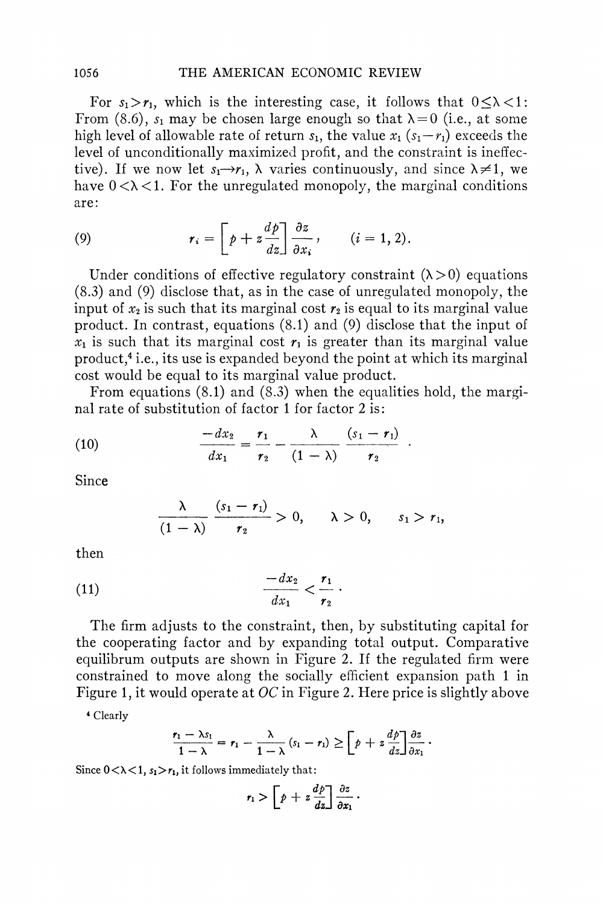For  $s_1 > r_1$ , which is the interesting case, it follows that  $0 \leq \lambda < 1$ : From (8.6),  $s_1$  may be chosen large enough so that  $\lambda = 0$  (i.e., at some high level of allowable rate of return  $s_1$ , the value  $x_1$  ( $s_1-r_1$ ) exceeds the **level of unconditionally maximized profit, and the constraint is ineffec**tive). If we now let  $s_1 \rightarrow r_1$ ,  $\lambda$  varies continuously, and since  $\lambda \neq 1$ , we have  $0 < \lambda < 1$ . For the unregulated monopoly, the marginal conditions **are:** 

(9) 
$$
r_i = \left[ p + z \frac{dp}{dz} \right] \frac{\partial z}{\partial x_i}, \qquad (i = 1, 2).
$$

Under conditions of effective regulatory constraint  $(\lambda > 0)$  equations  $(8.3)$  and  $(9)$  disclose that, as in the case of unregulated monopoly, the input of  $x_2$  is such that its marginal cost  $r_2$  is equal to its marginal value **product. In contrast, equations (8.1) and (9) disclose that the input of**   $x<sub>1</sub>$  is such that its marginal cost  $r<sub>1</sub>$  is greater than its marginal value **product,4 i.e., its use is expanded beyond the point at which its marginal cost would be equal to its marginal value product.** 

**From equations (8.1) and (8.3) when the equalities hold, the marginal rate of substitution of factor 1 for factor 2 is:** 

(10) 
$$
\frac{-dx_2}{dx_1} = \frac{r_1}{r_2} - \frac{\lambda}{(1-\lambda)} \frac{(s_1 - r_1)}{r_2}
$$

**Since** 

$$
\frac{\lambda}{(1-\lambda)}\frac{(s_1-r_1)}{r_2}>0, \qquad \lambda>0, \qquad s_1>r_1,
$$

**then** 

$$
\frac{-dx_2}{dx_1} < \frac{r_1}{r_2} \, .
$$

**The firm adjusts to the constraint, then, by substituting capital for the cooperating factor and by expanding total output. Comparative equilibrum outputs are shown in Figure 2. If the regulated firm were constrained to move along the socially efficient expansion path 1 in Figure 1, it would operate at OC in Figure 2. Here price is slightly above** 

**<sup>4</sup>Clearly** 

$$
\frac{r_1-\lambda s_1}{1-\lambda}=r_1-\frac{\lambda}{1-\lambda}(s_1-r_1)\geq \left[\rho+z\frac{dp}{dz}\right]\frac{\partial z}{\partial x_1}.
$$

Since  $0 < \lambda < 1$ ,  $s_1 > r_1$ , it follows immediately that:

$$
r_1 > \left[\rho + z\,\frac{d\rho}{dz}\right]\frac{\partial z}{\partial x_1}\,.
$$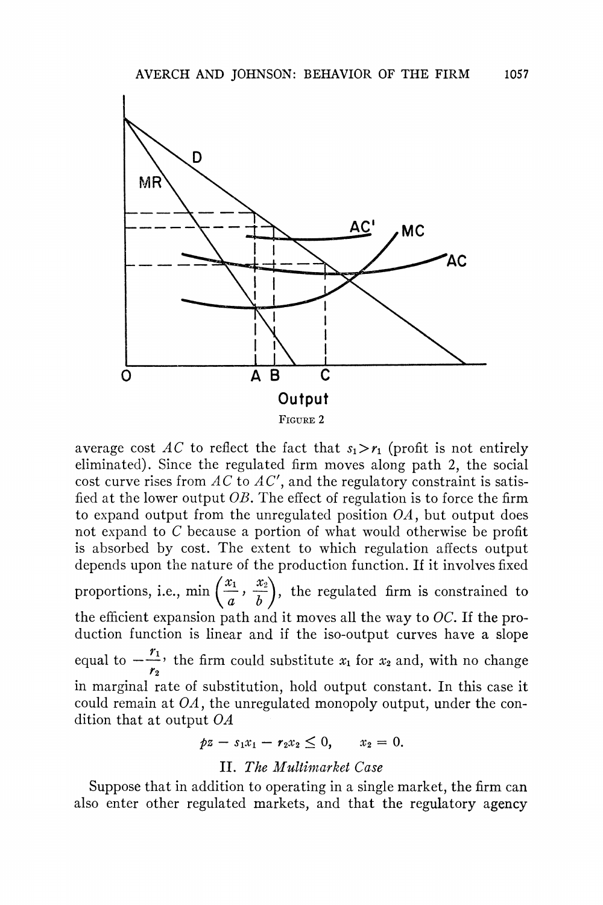

average cost AC to reflect the fact that  $s_1 > r_1$  (profit is not entirely **eliminated). Since the regulated firm moves along path 2, the social**  cost curve rises from  $AC$  to  $AC'$ , and the regulatory constraint is satis**fied at the lower output OB. The effect of regulation is to force the firm to expand output from the unregulated position OA, but output does not expand to C because a portion of what would otherwise be profit is absorbed by cost. The extent to which regulation affects output depends upon the nature of the production function. If it involves fixed**  proportions, i.e.,  $\min\left(\frac{x_1}{a}, \frac{x_2}{b}\right)$ , the regulated firm is constrained to **the efficient expansion path and it moves all the way to OC. If the production function is linear and if the iso-output curves have a slope**  equal to  $-\frac{1}{r_2}$ , the firm could substitute  $x_1$  for  $x_2$  and, with no change **in marginal rate of substitution, hold output constant. In this case it could remain at OA, the unregulated monopoly output, under the condition that at output OA** 

 $pz - s_1x_1 - r_2x_2 \leq 0, \quad x_2 = 0.$ 

# **II.** The Multimarket Case

**Suppose that in addition to operating in a single market, the firm can also enter other regulated markets, and that the regulatory agency**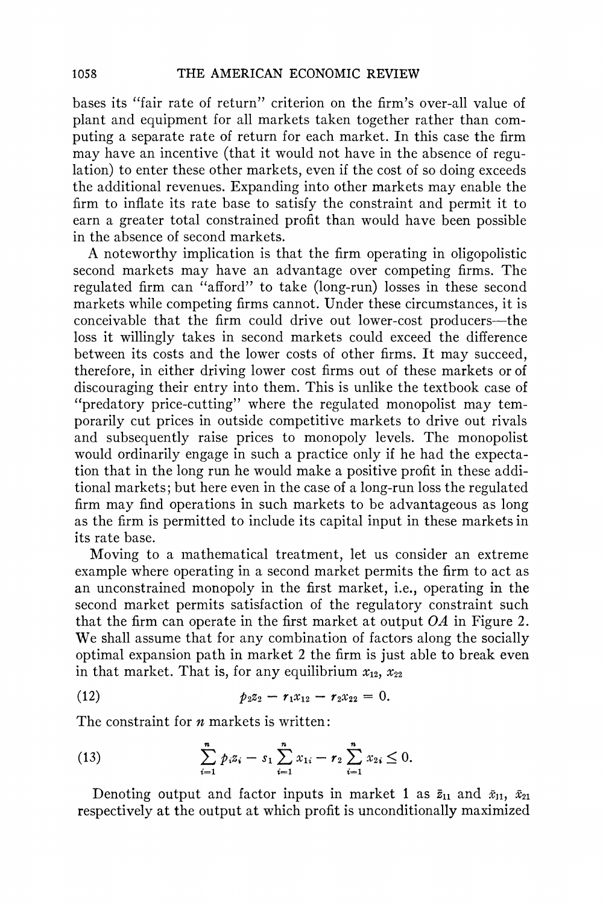**bases its "fair rate of return" criterion on the firm's over-all value of plant and equipment for all markets taken together rather than computing a separate rate of return for each market. In this case the firm may have an incentive (that it would not have in the absence of regulation) to enter these other markets, even if the cost of so doing exceeds the additional revenues. Expanding into other markets may enable the firm to inflate its rate base to satisfy the constraint and permit it to earn a greater total constrained profit than would have been possible in the absence of second markets.** 

**A noteworthy implication is that the firm operating in oligopolistic second markets may have an advantage over competing firms. The regulated firm can "afford" to take (long-run) losses in these second markets while competing firms cannot. Under these circumstances, it is conceivable that the firm could drive out lower-cost producers-the loss it willingly takes in second markets could exceed the difference between its costs and the lower costs of other firms. It may succeed, therefore, in either driving lower cost firms out of these markets or of discouraging their entry into them. This is unlike the textbook case of "predatory price-cutting" where the regulated monopolist may temporarily cut prices in outside competitive markets to drive out rivals and subsequently raise prices to monopoly levels. The monopolist would ordinarily engage in such a practice only if he had the expectation that in the long run he would make a positive profit in these additional markets; but here even in the case of a long-run loss the regulated firm may find operations in such markets to be advantageous as long as the firm is permitted to include its capital input in these markets in its rate base.** 

**Moving to a mathematical treatment, let us consider an extreme example where operating in a second market permits the firm to act as an unconstrained monopoly in the first market, i.e., operating in the second market permits satisfaction of the regulatory constraint such that the firm can operate in the first market at output OA in Figure 2. We shall assume that for any combination of factors along the socially optimal expansion path in market 2 the firm is just able to break even**  in that market. That is, for any equilibrium  $x_{12}$ ,  $x_{22}$ 

(12) 
$$
p_{2}z_{2}-r_{1}x_{12}-r_{2}x_{22}=0.
$$

The constraint for *n* markets is written:

(13) 
$$
\sum_{i=1}^{n} p_i z_i - s_1 \sum_{i=1}^{n} x_{1i} - r_2 \sum_{i=1}^{n} x_{2i} \leq 0.
$$

Denoting output and factor inputs in market 1 as  $\bar{z}_{11}$  and  $\bar{x}_{11}$ ,  $\bar{x}_{21}$ **respectively at the output at which profit is unconditionally maximized**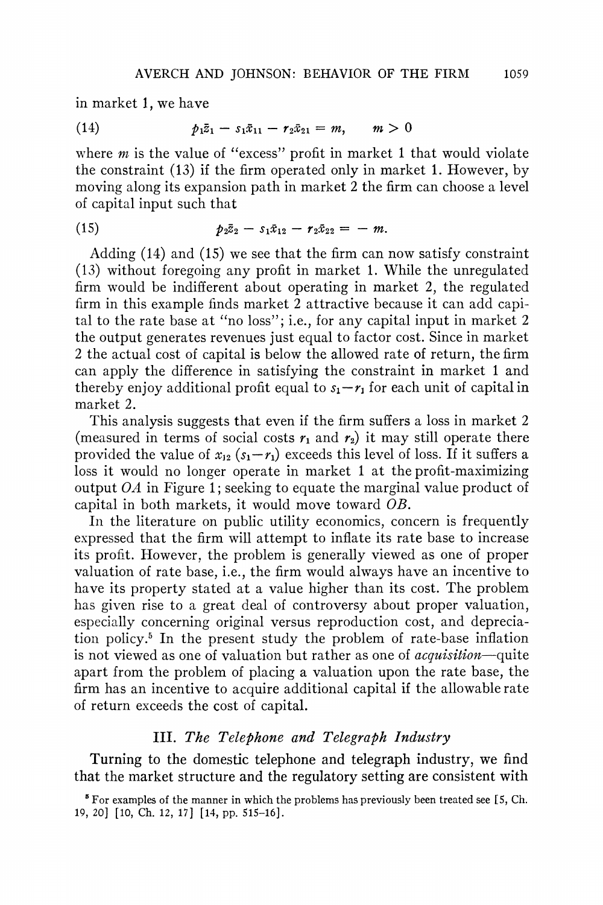**in market 1, we have** 

(14) 
$$
p_1\bar{z}_1-s_1\bar{x}_{11}-r_2\bar{x}_{21}=m, \quad m>0
$$

where *m* is the value of "excess" profit in market 1 that would violate **the constraint (13) if the firm operated only in market 1. However, by moving along its expansion path in market 2 the firm can choose a level of capital input such that** 

(15) 
$$
p_2\bar{z}_2-s_1\bar{x}_{12}-r_2\bar{x}_{22}=-m.
$$

**Adding (14) and (15) we see that the firm can now satisfy constraint (13) without foregoing any profit in market 1. While the unregulated firm would be indifferent about operating in market 2, the regulated firm in this example finds market 2 attractive because it can add capital to the rate base at "no loss"; i.e., for any capital input in market 2 the output generates revenues just equal to factor cost. Since in market 2 the actual cost of capital is below the allowed rate of return, the firm can apply the difference in satisfying the constraint in market 1 and**  thereby enjoy additional profit equal to  $s_1-r_1$  for each unit of capital in **market 2.** 

**This analysis suggests that even if the firm suffers a loss in market 2**  (measured in terms of social costs  $r_1$  and  $r_2$ ) it may still operate there provided the value of  $x_{12}$   $(s_1-r_1)$  exceeds this level of loss. If it suffers a **loss it would no longer operate in market 1 at the profit-maximizing output OA in Figure 1; seeking to equate the marginal value product of capital in both markets, it would move toward OB.** 

**In the literature on public utility economics, concern is frequently expressed that the firm will attempt to inflate its rate base to increase its profit. However, the problem is generally viewed as one of proper valuation of rate base, i.e., the firm would always have an incentive to have its property stated at a value higher than its cost. The problem**  has given rise to a great deal of controversy about proper valuation, **especially concerning original versus reproduction cost, and depreciationi policy.5 In the present study the problem of rate-base inflation is not viewed as one of valuation but rather as one of acquisition-quite apart from the problem of placing a valuation upon the rate base, the firm has an incentive to acquire additional capital if the allowable rate of return exceeds the cost of capital.** 

### **III. The Telephone and Telegraph Industry**

**Turning to the domestic telephone and telegraph industry, we find that the market structure and the regulatory setting are consistent with** 

**<sup>&#</sup>x27;For examples of the manner in which the problems has previously been treated see [5, Ch. 19, 20] [10, Ch. 12, 17] [14, pp. 515-16].**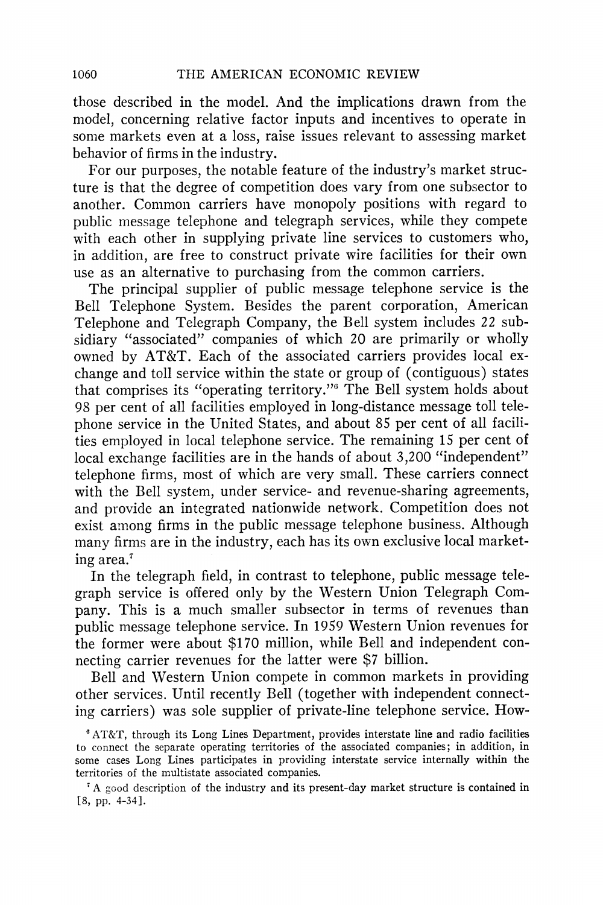**those described in the model. And the implications drawn from the model, concerning relative factor inputs and incentives to operate in some markets even at a loss, raise issues relevant to assessing market behavior of firms in the industry.** 

**For our purposes, the notable feature of the industry's market structure is that the degree of competition does vary from one subsector to another. Common carriers have monopoly positions with regard to public message telephone and telegraph services, while they compete with each other in supplying private line services to customers who, in addition, are free to construct private wire facilities for their own use as an alternative to purchasing from the common carriers.** 

**The principal supplier of public message telephone service is the Bell Telephone System. Besides the parent corporation, American Telephone and Telegraph Company, the Bell system includes 22 subsidiary "associated" companies of which 20 are primarily or wholly owned by AT&T. Each of the associated carriers provides local exchange and toll service within the state or group of (contiguous) states that comprises its "operating territory."6 The Bell system holds about 98 per cent of all facilities employed in long-distance message toll telephone service in the United States, and about 85 per cent of all facilities employed in local telephone service. The remaining 15 per cent of local exchange facilities are in the hands of about 3,200 "independent" telephone firms, most of which are very small. These carriers connect with the Bell system, under service- and revenue-sharing agreements, and provide an integrated nationwide network. Competition does not exist among firms in the public message telephone business. Although many firms are in the industry, each has its own exclusive local marketing area.'** 

**In the telegraph field, in contrast to telephone, public message telegraph service is offered only by the Western Union Telegraph Company. This is a much smaller subsector in terms of revenues than public message telephone service. In 1959 Western Union revenues for the former were about \$170 million, while Bell and independent connecting carrier revenues for the latter were \$7 billion.** 

**Bell and Western Union compete in common markets in providing other services. Until recently Bell (together with independent connecting carriers) was sole supplier of private-line telephone service. How-**

**7A good description of the industry and its present-day market structure is contained in [8, pp. 4-34].** 

**<sup>a</sup>AT&T, through its Long Lines Department, provides interstate line and radio facilities to connect the separate operating territories of the associated companies; in addition, in some cases Long Lines participates in providing interstate service internally within the territories of the multistate associated companies.**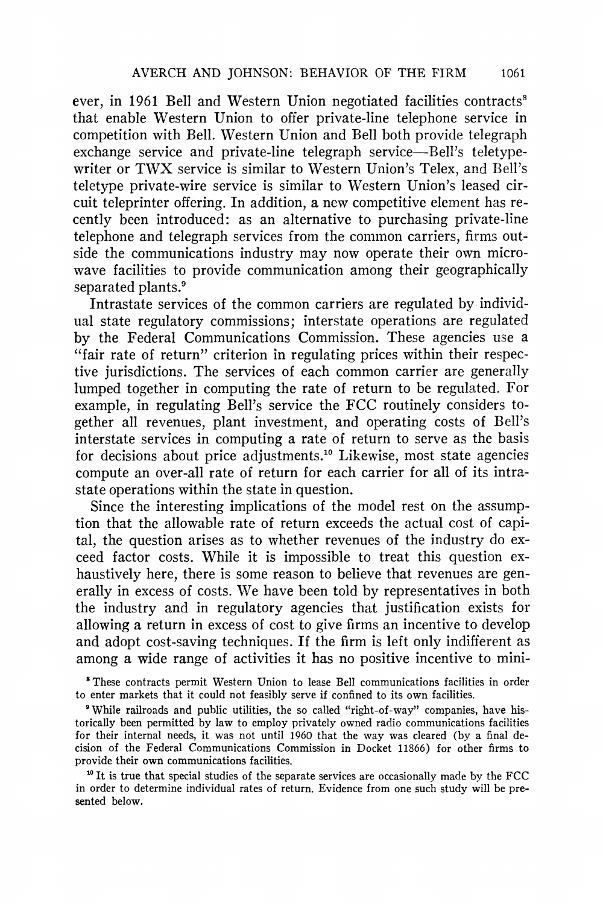**ever, in 1961 Bell and Western Union negotiated facilities contracts8 that enable Western Union to offer private-line telephone service in competition with Bell. Western Union and Bell both provide telegraph**  exchange service and private-line telegraph service—Bell's teletype**writer or TWX service is similar to Western Union's Telex, and Bell's teletype private-wire service is similar to Western Union's leased circuit teleprinter offering. In addition, a new competitive element has recently been introduced: as an alternative to purchasing private-line telephone and telegraph services from the common carriers, firms outside the communications industry may now operate their own microwave facilities to provide communication among their geographically separated plants.9** 

**Intrastate services of the common carriers are regulated by individual state regulatory commissions; interstate operations are regulated by the Federal Communications Commission. These agencies use a "fair rate of return" criterion in regulating prices within their respective jurisdictions. The services of each common carrier are generally lumped together in computing the rate of return to be regulated. For example, in regulating Bell's service the FCC routinely considers together all revenues, plant investment, and operating costs of Bell's interstate services in computing a rate of return to serve as the basis for decisions about price adjustments.'0 Likewise, most state agencies compute an over-all rate of return for each carrier for all of its intrastate operations within the state in question.** 

**Since the interesting implications of the model rest on the assumption that the allowable rate of return exceeds the actual cost of capital, the question arises as to whether revenues of the industry do exceed factor costs. While it is impossible to treat this question exhaustively here, there is some reason to believe that revenues are gen**erally in excess of costs. We have been told by representatives in both **the industry and in regulatory agencies that justification exists for allowing a return in excess of cost to give firms an incentive to develop and adopt cost-saving techniques. If the firm is left only indifferent as**  among a wide range of activities it has no positive incentive to mini-

**These contracts permit Western Union to lease Bell communications facilities in order to enter markets that it could not feasibly serve if confined to its own facilities.** 

<sup>9</sup> While railroads and public utilities, the so called "right-of-way" companies, have his**torically been permitted by law to employ privately owned radio communications facilities for their internal needs, it was not until 1960 that the way was cleared (by a final decision of the Federal Communications Commission in Docket 11866) for other firms to provide their own communications facilities.** 

**10 It is true that special studies of the separate services are occasionally made by the FCC in order to determine individual rates of return. Evidence from one such study will be presented below.**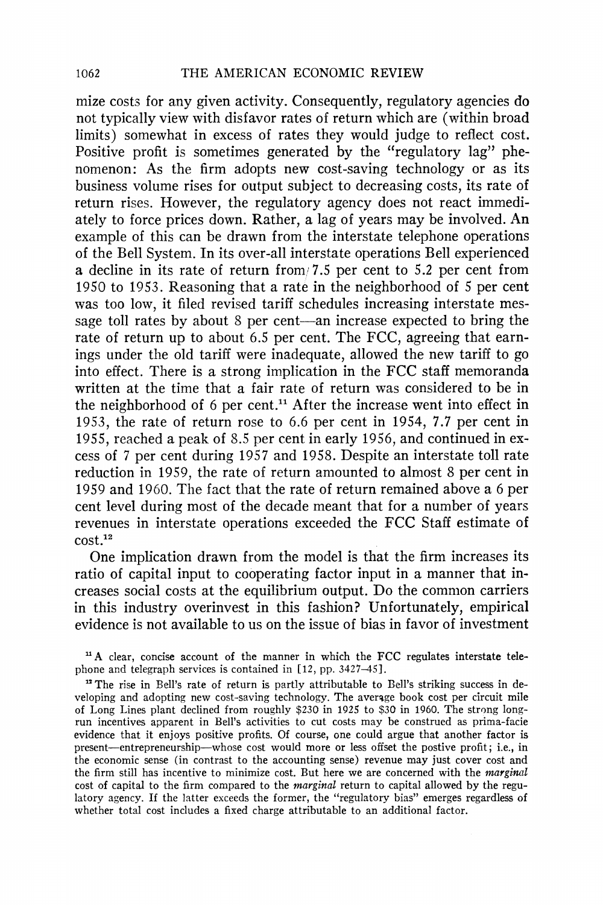**mize costs for any given activity. Consequently, regulatory agencies do not typically view with disfavor rates of return which are (within broad limits) somewhat in excess of rates they would judge to reflect cost. Positive profit is sometimes generated by the "regulatory lag" phenomenon: As the firm adopts new cost-saving technology or as its business volume rises for output subject to decreasing costs, its rate of return rises. However, the regulatory agency does not react immediately to force prices down. Rather, a lag of years may be involved. An example of this can be drawn from the interstate telephone operations of the Bell System. In its over-all interstate operations Bell experienced a decline in its rate of return from: 7.5 per cent to 5.2 per cent from 1950 to 1953. Reasoning that a rate in the neighborhood of 5 per cent was too low, it filed revised tariff schedules increasing interstate message toll rates by about 8 per cent-an increase expected to bring the rate of return up to about 6.5 per cent. The FCC, agreeing that earnings under the old tariff were inadequate, allowed the new tariff to go into effect. There is a strong implication in the FCC staff memoranda written at the time that a fair rate of return was considered to be in the neighborhood of 6 per cent." After the increase went into effect in 1953, the rate of return rose to 6.6 per cent in 1954, 7.7 per cent in 1955, reached a peak of 8.5 per cent in early 1956, and continued in excess of 7 per cent during 1957 and 1958. Despite an interstate toll rate reduction in 1959, the rate of return amounted to almost 8 per cent in 1959 and 1960. The fact that the rate of return remained above a 6 per cent level during most of the decade meant that for a number of years revenues in interstate operations exceeded the FCC Staff estimate of**   $cost<sup>12</sup>$ 

**One implication drawn from the model is that the firm increases its ratio of capital input to cooperating factor input in a manner that increases social costs at the equilibrium output. Do the common carriers in this industry overinvest in this fashion? Unfortunately, empirical evidence is not available to us on the issue of bias in favor of investment** 

<sup>11</sup> A clear, concise account of the manner in which the FCC regulates interstate tele**phone and telegraph services is contained in [12, pp. 3427-451.** 

<sup>12</sup> The rise in Bell's rate of return is partly attributable to Bell's striking success in de**veloping and adopting new cost-saving technology. The average book cost per circuit mile of Long Lines plant declined from roughly \$230 in 1925 to \$30 in 1960. The strong longrun incentives apparent in Bell's activities to cut costs may be construed as prima-facie evidence that it enjoys positive profits. Of course, one could argue that another factor is present-entrepreneurship-whose cost would more or less offset the postive profit; i.e., in the economic sense (in contrast to the accounting sense) revenue may just cover cost and the firm still has incentive to minimize cost. But here we are concerned with the marginal cost of capital to the firm compared to the marginal return to capital allowed by the regulatory agency. If the latter exceeds the former, the "regulatory bias" emerges regardless of whether total cost includes a fixed charge attributable to an additional factor.**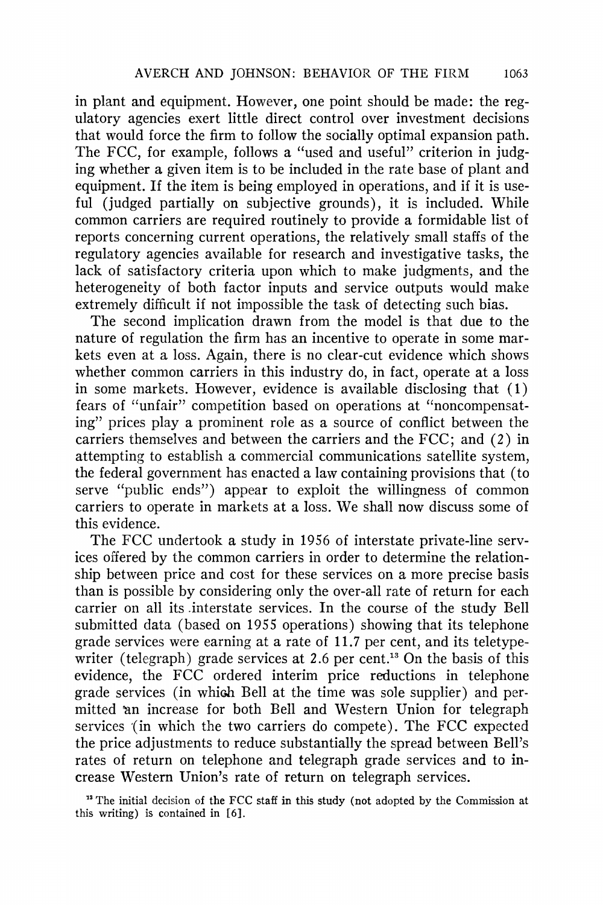**in plant and equipment. However, one point should be made: the regulatory agencies exert little direct control over investment decisions that would force the firm to follow the socially optimal expansion path. The FCC, for example, follows a "used and useful" criterion in judging whether a given item is to be included in the rate base of plant and equipment. If the item is being employed in operations, and if it is useful (judged partially on subjective grounds), it is included. While common carriers are required routinely to provide a formidable list of reports concerning current operations, the relatively small staffs of the regulatory agencies available for research and investigative tasks, the lack of satisfactory criteria upon which to make judgments, and the heterogeneity of both factor inputs and service outputs would make extremely difficult if not impossible the task of detecting such bias.** 

**The second implication drawn from the model is that due to the nature of regulation the firm has an incentive to operate in some markets even at a loss. Again, there is no clear-cut evidence which shows whether common carriers in this industry do, in fact, operate at a loss in some markets. However, evidence is available disclosing that (1) fears of "unfair" competition based on operations at "noncompensating" prices play a prominent role as a source of conflict between the carriers themselves and between the carriers and the FCC; and (2) in**  attempting to establish a commercial communications satellite system, **the federal government has enacted a law containing provisions that (to serve "public ends") appear to exploit the willingness of common carriers to operate in markets at a loss. We shall now discuss some of this evidence.** 

**The FCC undertook a study in 1956 of interstate private-line services offered by the common carriers in order to determine the relationship between price and cost for these services on a more precise basis than is possible by considering only the over-all rate of return for each carrier on all its interstate services. In the course of the study Bell submitted data (based on 1955 operations) showing that its telephone grade services were earning at a rate of 11.7 per cent, and its teletype**writer (telegraph) grade services at 2.6 per cent.<sup>13</sup> On the basis of this **evidence, the FCC ordered interim price reductions in telephone**  grade services (in which Bell at the time was sole supplier) and per**mitted an increase for both Bell and Western Union for telegraph services (in which the two carriers do compete). The FCC expected the price adjustments to reduce substantially the spread between Bell's rates of return on telephone and telegraph grade services and to increase Western Union's rate of return on telegraph services.** 

<sup>&</sup>lt;sup>13</sup> The initial decision of the FCC staff in this study (not adopted by the Commission at **this writing) is contained in [6].**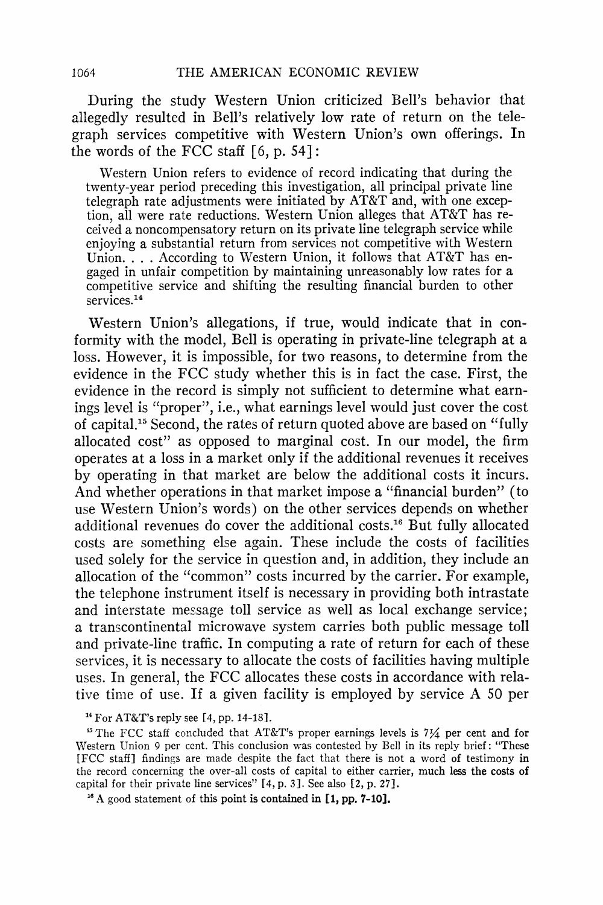**During the study Western Union criticized Bell's behavior that allegedly resulted in Bell's relatively low rate of return on the tele**graph services competitive with Western Union's own offerings. In **the words of the FCC staff [6, p. 54]:** 

**Western Union refers to evidence of record indicating that during the twenty-year period preceding this investigation, all principal private line telegraph rate adjustments were initiated by AT&T and, with one exception, all were rate reductions. Western Union alleges that AT&T has received a noncompensatory return on its private line telegraph service while enjoying a substantial return from services not competitive with Western Union. . . . According to Western Union, it follows that AT&T has engaged in unfair competition by maintaining unreasonably low rates for a competitive service and shifting the resulting financial burden to other**  services.<sup>14</sup>

**Western Union's allegations, if true, would indicate that in conformity with the model, Bell is operating in private-line telegraph at a loss. However, it is impossible, for two reasons, to determine from the evidence in the FCC study whether this is in fact the case. First, the evidence in the record is simply not sufficient to determine what earnings level is "proper", i.e., what earnings level would just cover the cost of capital.15 Second, the rates of return quoted above are based on "fully allocated cost" as opposed to marginal cost. In our model, the firm operates at a loss in a market only if the additional revenues it receives by operating in that market are below the additional costs it incurs. And whether operations in that market impose a "financial burden" (to use Western Union's words) on the other services depends on whether additional revenues do cover the additional costs.16 But fully allocated costs are something else again. These include the costs of facilities used solely for the service in question and, in addition, they include an allocation of the "common" costs incurred by the carrier. For example, the telephone instrument itself is necessary in providing both intrastate and interstate message toll service as well as local exchange service; a transcontinental microwave system carries both public message toll and private-line traffic. In computing a rate of return for each of these services, it is necessary to allocate the costs of facilities having multiple uses. In general, the FCC allocates these costs in accordance with relative time of use. If a given facility is employed by service A 50 per** 

**<sup>14</sup>For AT&T's reply see [4, pp. 14-181.** 

<sup>15</sup> The FCC staff concluded that AT&T's proper earnings levels is  $7\frac{1}{4}$  per cent and for **Western Union 9 per cent. This conclusion was contested by Bell in its reply brief: "These [FCC staff] findings are made despite the fact that there is not a word of testimony in the record concerning the over-all costs of capital to either carrier, much less the costs of capital for their private line services" [4, p. 3]. See also [2, p. 27].** 

<sup>16</sup> A good statement of this point is contained in [1, pp. 7-10].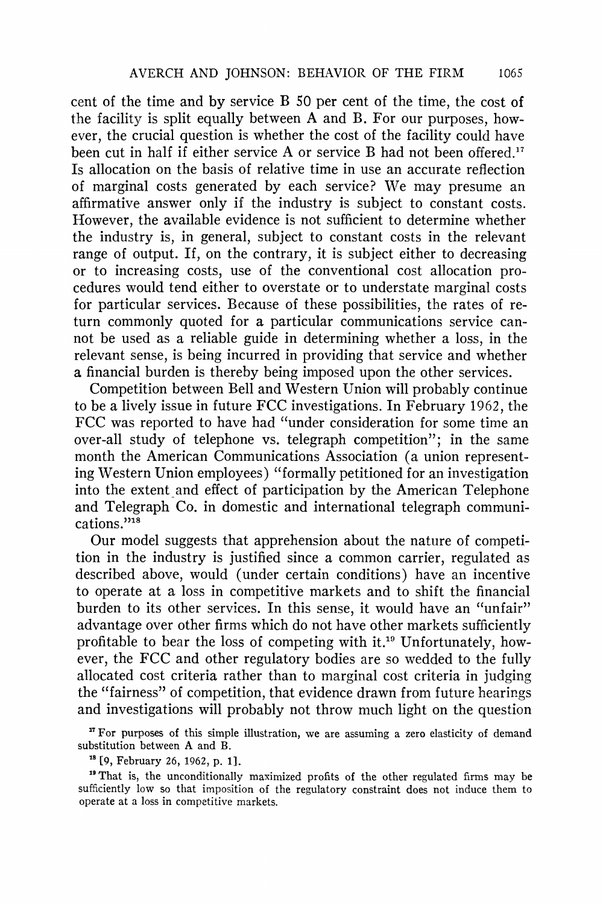**cent of the time and by service B 50 per cent of the time, the cost of the facility is split equally between A and B. For our purposes, however, the crucial question is whether the cost of the facility could have been cut in half if either service A or service B had not been offered."7 Is allocation on the basis of relative time in use an accurate reflection of marginal costs generated by each service? We may presume an affirmative answer only if the industry is subject to constant costs. However, the available evidence is not sufficient to determine whether the industry is, in general, subject to constant costs in the relevant range of output. If, on the contrary, it is subject either to decreasing or to increasing costs, use of the conventional cost allocation procedures would tend either to overstate or to understate marginal costs for particular services. Because of these possibilities, the rates of return commonly quoted for a particular communications service cannot be used as a reliable guide in determining whether a loss, in the relevant sense, is being incurred in providing that service and whether a financial burden is thereby being imposed upon the other services.** 

**Competition between Bell and Western Union will probably continue to be a lively issue in future FCC investigations. In February 1962, the FCC was reported to have had "under consideration for some time an over-all study of telephone vs. telegraph competition"; in the same month the American Communications Association (a union representing Western Union employees) "formally petitioned for an investigation into the extent and effect of participation by the American Telephone and Telegraph Co. in domestic and international telegraph communications."'8** 

**Our model suggests that apprehension about the nature of competition in the industry is justified since a common carrier, regulated as described above, would (under certain conditions) have an incentive to operate at a loss in competitive markets and to shift the financial burden to its other services. In this sense, it would have an "unfair" advantage over other firms which do not have other markets sufficiently profitable to bear the loss of competing with it.'9 Unfortunately, however, the FCC and other regulatory bodies are so wedded to the fully allocated cost criteria rather than to marginal cost criteria in judging the "fairness" of competition, that evidence drawn from future hearings and investigations will probably not throw much light on the question** 

**'1 For purposes of this simple illustration, we are assuming a zero elasticity of demand substitution between A and B.** 

**<sup>1</sup>[9, February 26, 1962, p. 1].** 

<sup>19</sup> That is, the unconditionally maximized profits of the other regulated firms may be **sufficiently low so that imposition of the regulatory constraint does not induce them to operate at a loss in competitive markets.**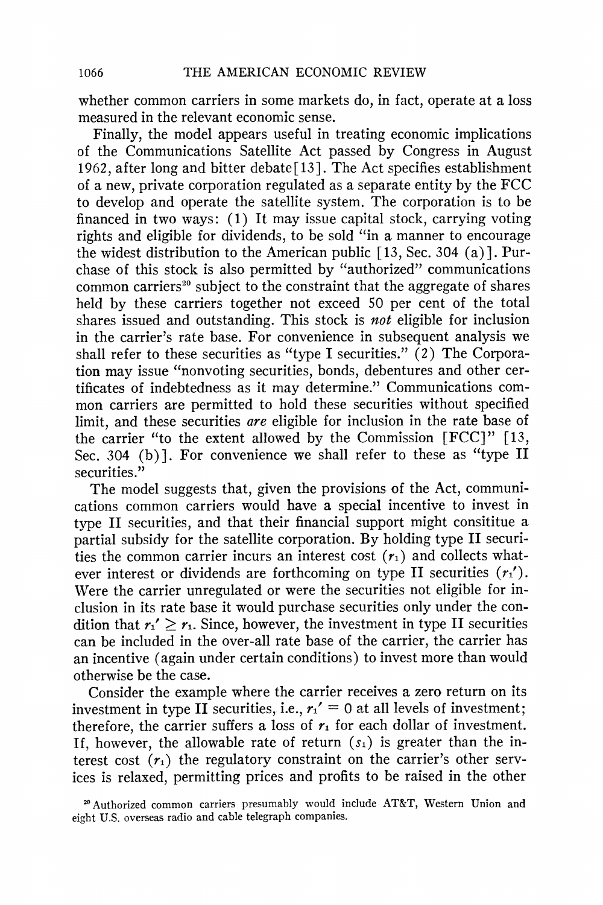**whether common carriers in some markets do, in fact, operate at a loss measured in the relevant economic sense.** 

**Finally, the model appears useful in treating economic implications of the Communications Satellite Act passed by Congress in August 1962, after long and bitter debate[13]. The Act specifies establishment of a new, private corporation regulated as a separate entity by the FCC to develop and operate the satellite system. The corporation is to be financed in two ways: (1) It may issue capital stock, carrying voting rights and eligible for dividends, to be sold "in a manner to encourage the widest distribution to the American public [13, Sec. 304 (a)]. Purchase of this stock is also permitted by "authorized" communications common carriers"0 subject to the constraint that the aggregate of shares held by these carriers together not exceed 50 per cent of the total shares issued and outstanding. This stock is not eligible for inclusion in the carrier's rate base. For convenience in subsequent analysis we shall refer to these securities as "type I securities." (2) The Corporation may issue "nonvoting securities, bonds, debentures and other certificates of indebtedness as it may determine." Communications common carriers are permitted to hold these securities without specified limit, and these securities are eligible for inclusion in the rate base of the carrier "to the extent allowed by the Commission [FCC]" [13, Sec. 304 (b)]. For convenience we shall refer to these as "type II securities."** 

**The model suggests that, given the provisions of the Act, communications common carriers would have a special incentive to invest in type II securities, and that their financial support might consititue a partial subsidy for the satellite corporation. By holding type II securi**ties the common carrier incurs an interest cost  $(r_1)$  and collects whatever interest or dividends are forthcoming on type II securities  $(r_1)$ . **Were the carrier unregulated or were the securities not eligible for inclusion in its rate base it would purchase securities only under the con**dition that  $r_1' \ge r_1$ . Since, however, the investment in type II securities **can be included in the over-all rate base of the carrier, the carrier has an incentive (again under certain conditions) to invest more than would otherwise be the case.** 

**Consider the example where the carrier receives a zero return on its**  investment in type II securities, i.e.,  $r_1' = 0$  at all levels of investment; therefore, the carrier suffers a loss of  $r_1$  for each dollar of investment. If, however, the allowable rate of return  $(s_1)$  is greater than the interest cost  $(r_1)$  the regulatory constraint on the carrier's other serv**ices is relaxed, permitting prices and profits to be raised in the other** 

<sup>&</sup>lt;sup>20</sup> Authorized common carriers presumably would include AT&T, Western Union and **eight U.S. overseas radio and cable telegraph companies.**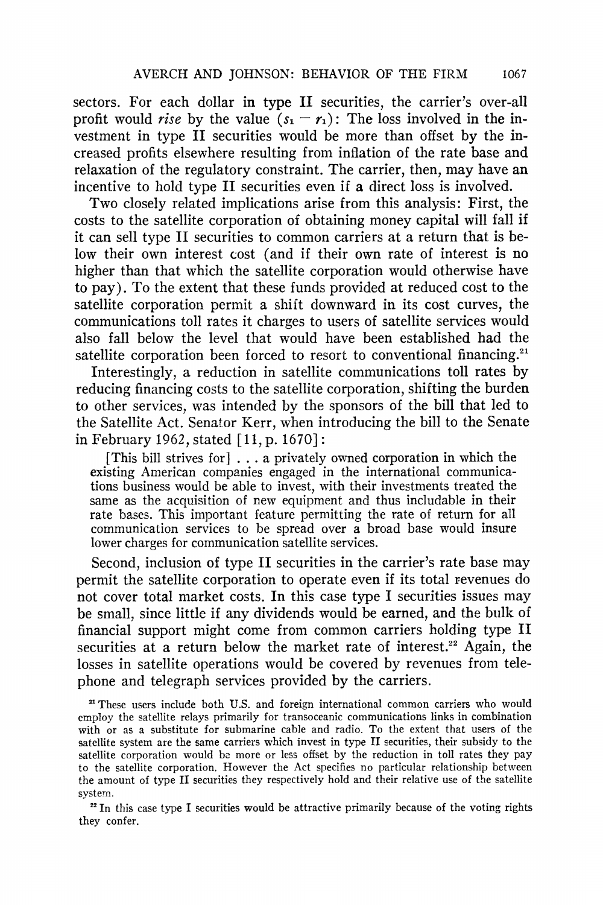**sectors. For each dollar in type II securities, the carrier's over-all**  profit would *rise* by the value  $(s_1 - r_1)$ : The loss involved in the in**vestment in type II securities would be more than offset by the increased profits elsewhere resulting from inflation of the rate base and relaxation of the regulatory constraint. The carrier, then, may have an incentive to hold type II securities even if a direct loss is involved.** 

**Two closely related implications arise from this analysis: First, the costs to the satellite corporation of obtaining money capital will fall if it can sell type II securities to common carriers at a return that is below their own interest cost (and if their own rate of interest is no higher than that which the satellite corporation would otherwise have to pay). To the extent that these funds provided at reduced cost to the satellite corporation permit a shift downward in its cost curves, the communications toll rates it charges to users of satellite services would also fall below the level that would have been established had the**  satellite corporation been forced to resort to conventional financing.<sup>21</sup>

**Interestingly, a reduction in satellite communications toll rates by reducing financing costs to the satellite corporation, shifting the burden to other services, was intended by the sponsors of the bill that led to the Satellite Act. Senator Kerr, when introducing the bill to the Senate in February 1962, stated [1 1, p. 1670]:** 

**[This bill strives for] . .. a privately owned corporation in which the existing American companies engaged in the international communications business would be able to invest, with their investments treated the same as the acquisition of new equipment and thus includable in their rate bases. This important feature permitting the rate of return for all communication services to be spread over a broad base would insure lower charges for communication satellite services.** 

**Second, inclusion of type II securities in the carrier's rate base may permit the satellite corporation to operate even if its total revenues do not cover total market costs. In this case type I securities issues may be small, since little if any dividends would be earned, and the bulk of financial support might come from common carriers holding type II**  securities at a return below the market rate of interest.<sup>22</sup> Again, the **losses in satellite operations would be covered by revenues from telephone and telegraph services provided by the carriers.** 

<sup>21</sup> These users include both U.S. and foreign international common carriers who would **employ the satellite relays primarily for transoceanic communications links in combination with or as a substitute for submarine cable and radio. To the extent that users of the satellite system are the same carriers which invest in type II securities, their subsidy to the**  satellite corporation would be more or less offset by the reduction in toll rates they pay **to the satellite corporation. However the Act specifies no particular relationship between the amount of type II securities they respectively hold and their relative use of the satellite systern.** 

 $22$  In this case type I securities would be attractive primarily because of the voting rights **they confer.**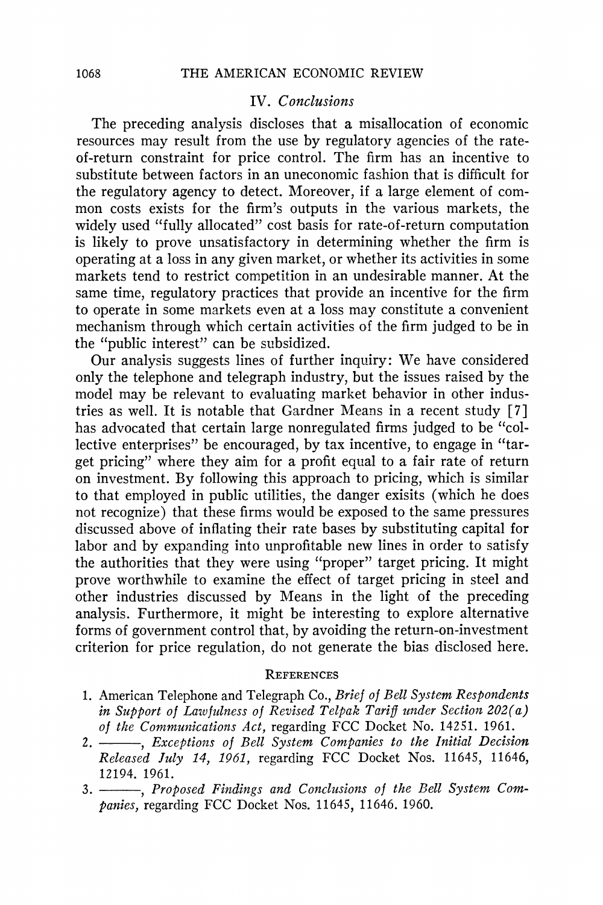### **IV. Conclusions**

**The preceding analysis discloses that a misallocation of economic resources may result from the use by regulatory agencies of the rateof-return constraint for price control. The firm has an incentive to substitute between factors in an uneconomic fashion that is difficult for the regulatory agency to detect. Moreover, if a large element of common costs exists for the firm's outputs in the various markets, the widely used "fully allocated" cost basis for rate-of-return computation is likely to prove unsatisfactory in determining whether the firm is operating at a loss in any given market, or whether its activities in some markets tend to restrict competition in an undesirable manner. At the same time, regulatory practices that provide an incentive for the firm to operate in some markets even at a loss may constitute a convenient mechanism through which certain activities of the firm judged to be in the "public interest" can be subsidized.** 

**Our analysis suggests lines of further inquiry: We have considered only the telephone and telegraph industry, but the issues raised by the model may be relevant to evaluating market behavior in other industries as well. It is notable that Gardner Means in a recent study [7] has advocated that certain large nonregulated firms judged to be "collective enterprises" be encouraged, by tax incentive, to engage in "target pricing" where they aim for a profit equal to a fair rate of return**  on investment. By following this approach to pricing, which is similar **to that employed in public utilities, the danger exisits (which he does not recognize) that these firms would be exposed to the same pressures discussed above of inflating their rate bases by substituting capital for labor and by expanding into unprofitable new lines in order to satisfy the authorities that they were using "proper" target pricing. It might prove worthwhile to examine the effect of target pricing in steel and other industries discussed by Means in the light of the preceding analysis. Furthermore, it might be interesting to explore alternative forms of government control that, by avoiding the return-on-investment criterion for price regulation, do not generate the bias disclosed here.** 

#### **REFERENCES**

- **1. American Telephone and Telegraph Co., Brief of Bell System Respondents in Support of Lawfulness of Revised Telpak Tariff under Section 202(a) of the Communications Act, regarding FCC Docket No. 14251. 1961.**
- **2. , Exceptions of Bell System Companies to the Initial Decision Released July 14, 1961, regarding FCC Docket Nos. 11645, 11646, 12194. 1961.**
- 3. Proposed Findings and Conclusions of the Bell System Com**panies, regarding FCC Docket Nos. 11645, 11646. 1960.**